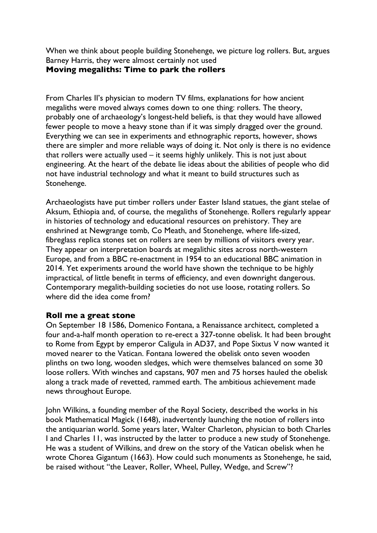When we think about people building Stonehenge, we picture log rollers. But, argues Barney Harris, they were almost certainly not used

## **Moving megaliths: Time to park the rollers**

From Charles II's physician to modern TV films, explanations for how ancient megaliths were moved always comes down to one thing: rollers. The theory, probably one of archaeology's longest-held beliefs, is that they would have allowed fewer people to move a heavy stone than if it was simply dragged over the ground. Everything we can see in experiments and ethnographic reports, however, shows there are simpler and more reliable ways of doing it. Not only is there is no evidence that rollers were actually used – it seems highly unlikely. This is not just about engineering. At the heart of the debate lie ideas about the abilities of people who did not have industrial technology and what it meant to build structures such as Stonehenge.

Archaeologists have put timber rollers under Easter Island statues, the giant stelae of Aksum, Ethiopia and, of course, the megaliths of Stonehenge. Rollers regularly appear in histories of technology and educational resources on prehistory. They are enshrined at Newgrange tomb, Co Meath, and Stonehenge, where life-sized, fibreglass replica stones set on rollers are seen by millions of visitors every year. They appear on interpretation boards at megalithic sites across north-western Europe, and from a BBC re-enactment in 1954 to an educational BBC animation in 2014. Yet experiments around the world have shown the technique to be highly impractical, of little benefit in terms of efficiency, and even downright dangerous. Contemporary megalith-building societies do not use loose, rotating rollers. So where did the idea come from?

## **Roll me a great stone**

On September 18 1586, Domenico Fontana, a Renaissance architect, completed a four and-a-half month operation to re-erect a 327-tonne obelisk. It had been brought to Rome from Egypt by emperor Caligula in AD37, and Pope Sixtus V now wanted it moved nearer to the Vatican. Fontana lowered the obelisk onto seven wooden plinths on two long, wooden sledges, which were themselves balanced on some 30 loose rollers. With winches and capstans, 907 men and 75 horses hauled the obelisk along a track made of revetted, rammed earth. The ambitious achievement made news throughout Europe.

John Wilkins, a founding member of the Royal Society, described the works in his book Mathematical Magick (1648), inadvertently launching the notion of rollers into the antiquarian world. Some years later, Walter Charleton, physician to both Charles I and Charles 11, was instructed by the latter to produce a new study of Stonehenge. He was a student of Wilkins, and drew on the story of the Vatican obelisk when he wrote Chorea Gigantum (1663). How could such monuments as Stonehenge, he said, be raised without "the Leaver, Roller, Wheel, Pulley, Wedge, and Screw"?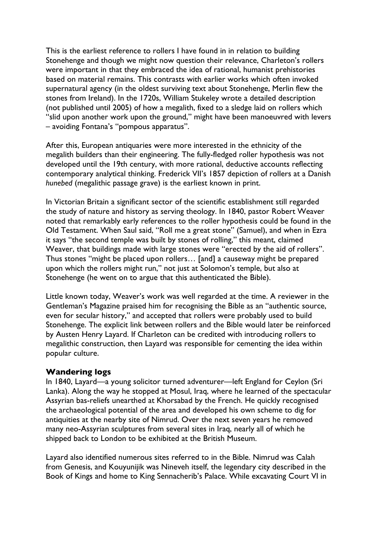This is the earliest reference to rollers I have found in in relation to building Stonehenge and though we might now question their relevance, Charleton's rollers were important in that they embraced the idea of rational, humanist prehistories based on material remains. This contrasts with earlier works which often invoked supernatural agency (in the oldest surviving text about Stonehenge, Merlin flew the stones from Ireland). In the 1720s, William Stukeley wrote a detailed description (not published until 2005) of how a megalith, fixed to a sledge laid on rollers which "slid upon another work upon the ground," might have been manoeuvred with levers – avoiding Fontana's "pompous apparatus".

After this, European antiquaries were more interested in the ethnicity of the megalith builders than their engineering. The fully-fledged roller hypothesis was not developed until the 19th century, with more rational, deductive accounts reflecting contemporary analytical thinking. Frederick VII's 1857 depiction of rollers at a Danish *hunebed* (megalithic passage grave) is the earliest known in print.

In Victorian Britain a significant sector of the scientific establishment still regarded the study of nature and history as serving theology. In 1840, pastor Robert Weaver noted that remarkably early references to the roller hypothesis could be found in the Old Testament. When Saul said, "Roll me a great stone" (Samuel), and when in Ezra it says "the second temple was built by stones of rolling," this meant, claimed Weaver, that buildings made with large stones were "erected by the aid of rollers". Thus stones "might be placed upon rollers… [and] a causeway might be prepared upon which the rollers might run," not just at Solomon's temple, but also at Stonehenge (he went on to argue that this authenticated the Bible).

Little known today, Weaver's work was well regarded at the time. A reviewer in the Gentleman's Magazine praised him for recognising the Bible as an "authentic source, even for secular history," and accepted that rollers were probably used to build Stonehenge. The explicit link between rollers and the Bible would later be reinforced by Austen Henry Layard. If Charleton can be credited with introducing rollers to megalithic construction, then Layard was responsible for cementing the idea within popular culture.

## **Wandering logs**

In 1840, Layard—a young solicitor turned adventurer—left England for Ceylon (Sri Lanka). Along the way he stopped at Mosul, Iraq, where he learned of the spectacular Assyrian bas-reliefs unearthed at Khorsabad by the French. He quickly recognised the archaeological potential of the area and developed his own scheme to dig for antiquities at the nearby site of Nimrud. Over the next seven years he removed many neo-Assyrian sculptures from several sites in Iraq, nearly all of which he shipped back to London to be exhibited at the British Museum.

Layard also identified numerous sites referred to in the Bible. Nimrud was Calah from Genesis, and Kouyunijik was Nineveh itself, the legendary city described in the Book of Kings and home to King Sennacherib's Palace. While excavating Court VI in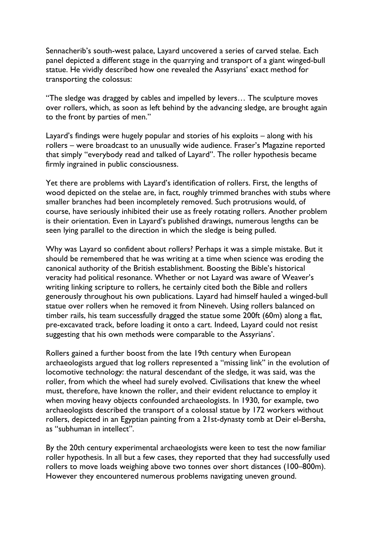Sennacherib's south-west palace, Layard uncovered a series of carved stelae. Each panel depicted a different stage in the quarrying and transport of a giant winged-bull statue. He vividly described how one revealed the Assyrians' exact method for transporting the colossus:

"The sledge was dragged by cables and impelled by levers… The sculpture moves over rollers, which, as soon as left behind by the advancing sledge, are brought again to the front by parties of men."

Layard's findings were hugely popular and stories of his exploits – along with his rollers – were broadcast to an unusually wide audience. Fraser's Magazine reported that simply "everybody read and talked of Layard". The roller hypothesis became firmly ingrained in public consciousness.

Yet there are problems with Layard's identification of rollers. First, the lengths of wood depicted on the stelae are, in fact, roughly trimmed branches with stubs where smaller branches had been incompletely removed. Such protrusions would, of course, have seriously inhibited their use as freely rotating rollers. Another problem is their orientation. Even in Layard's published drawings, numerous lengths can be seen lying parallel to the direction in which the sledge is being pulled.

Why was Layard so confident about rollers? Perhaps it was a simple mistake. But it should be remembered that he was writing at a time when science was eroding the canonical authority of the British establishment. Boosting the Bible's historical veracity had political resonance. Whether or not Layard was aware of Weaver's writing linking scripture to rollers, he certainly cited both the Bible and rollers generously throughout his own publications. Layard had himself hauled a winged-bull statue over rollers when he removed it from Nineveh. Using rollers balanced on timber rails, his team successfully dragged the statue some 200ft (60m) along a flat, pre-excavated track, before loading it onto a cart. Indeed, Layard could not resist suggesting that his own methods were comparable to the Assyrians'.

Rollers gained a further boost from the late 19th century when European archaeologists argued that log rollers represented a "missing link" in the evolution of locomotive technology: the natural descendant of the sledge, it was said, was the roller, from which the wheel had surely evolved. Civilisations that knew the wheel must, therefore, have known the roller, and their evident reluctance to employ it when moving heavy objects confounded archaeologists. In 1930, for example, two archaeologists described the transport of a colossal statue by 172 workers without rollers, depicted in an Egyptian painting from a 21st-dynasty tomb at Deir el-Bersha, as "subhuman in intellect".

By the 20th century experimental archaeologists were keen to test the now familiar roller hypothesis. In all but a few cases, they reported that they had successfully used rollers to move loads weighing above two tonnes over short distances (100–800m). However they encountered numerous problems navigating uneven ground.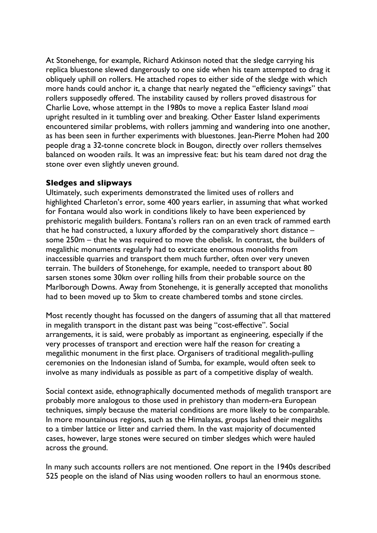At Stonehenge, for example, Richard Atkinson noted that the sledge carrying his replica bluestone slewed dangerously to one side when his team attempted to drag it obliquely uphill on rollers. He attached ropes to either side of the sledge with which more hands could anchor it, a change that nearly negated the "efficiency savings" that rollers supposedly offered. The instability caused by rollers proved disastrous for Charlie Love, whose attempt in the 1980s to move a replica Easter Island *moai* upright resulted in it tumbling over and breaking. Other Easter Island experiments encountered similar problems, with rollers jamming and wandering into one another, as has been seen in further experiments with bluestones. Jean-Pierre Mohen had 200 people drag a 32-tonne concrete block in Bougon, directly over rollers themselves balanced on wooden rails. It was an impressive feat: but his team dared not drag the stone over even slightly uneven ground.

## **Sledges and slipways**

Ultimately, such experiments demonstrated the limited uses of rollers and highlighted Charleton's error, some 400 years earlier, in assuming that what worked for Fontana would also work in conditions likely to have been experienced by prehistoric megalith builders. Fontana's rollers ran on an even track of rammed earth that he had constructed, a luxury afforded by the comparatively short distance – some 250m – that he was required to move the obelisk. In contrast, the builders of megalithic monuments regularly had to extricate enormous monoliths from inaccessible quarries and transport them much further, often over very uneven terrain. The builders of Stonehenge, for example, needed to transport about 80 sarsen stones some 30km over rolling hills from their probable source on the Marlborough Downs. Away from Stonehenge, it is generally accepted that monoliths had to been moved up to 5km to create chambered tombs and stone circles.

Most recently thought has focussed on the dangers of assuming that all that mattered in megalith transport in the distant past was being "cost-effective". Social arrangements, it is said, were probably as important as engineering, especially if the very processes of transport and erection were half the reason for creating a megalithic monument in the first place. Organisers of traditional megalith-pulling ceremonies on the Indonesian island of Sumba, for example, would often seek to involve as many individuals as possible as part of a competitive display of wealth.

Social context aside, ethnographically documented methods of megalith transport are probably more analogous to those used in prehistory than modern-era European techniques, simply because the material conditions are more likely to be comparable. In more mountainous regions, such as the Himalayas, groups lashed their megaliths to a timber lattice or litter and carried them. In the vast majority of documented cases, however, large stones were secured on timber sledges which were hauled across the ground.

In many such accounts rollers are not mentioned. One report in the 1940s described 525 people on the island of Nias using wooden rollers to haul an enormous stone.